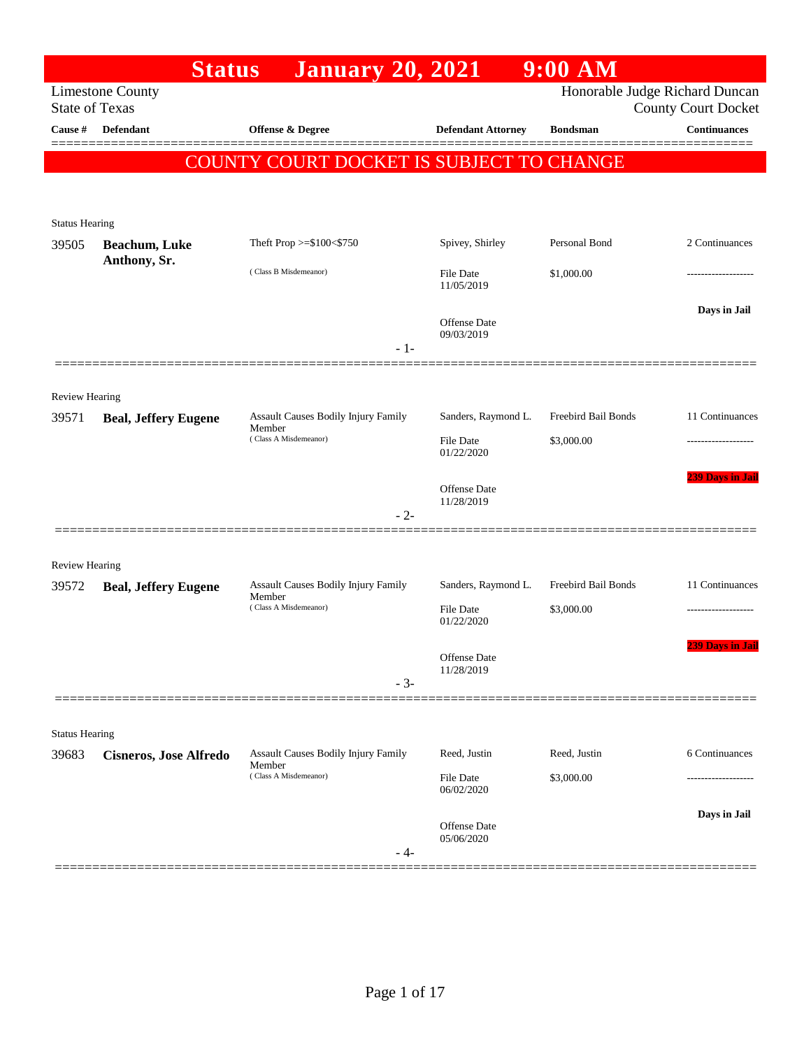|                                | <b>Status</b>                         | <b>January 20, 2021</b>                       |                                | $9:00$ AM           |                                                              |
|--------------------------------|---------------------------------------|-----------------------------------------------|--------------------------------|---------------------|--------------------------------------------------------------|
| <b>State of Texas</b>          | <b>Limestone County</b>               |                                               |                                |                     | Honorable Judge Richard Duncan<br><b>County Court Docket</b> |
| Cause #                        | <b>Defendant</b>                      | Offense & Degree                              | <b>Defendant Attorney</b>      | <b>Bondsman</b>     | <b>Continuances</b>                                          |
|                                |                                       | COUNTY COURT DOCKET IS SUBJECT TO CHANGE      |                                |                     |                                                              |
|                                |                                       |                                               |                                |                     |                                                              |
|                                |                                       |                                               |                                |                     |                                                              |
| <b>Status Hearing</b>          |                                       | Theft Prop >=\$100<\$750                      | Spivey, Shirley                | Personal Bond       | 2 Continuances                                               |
| 39505                          | <b>Beachum</b> , Luke<br>Anthony, Sr. |                                               |                                |                     |                                                              |
|                                |                                       | (Class B Misdemeanor)                         | <b>File Date</b><br>11/05/2019 | \$1,000.00          |                                                              |
|                                |                                       |                                               |                                |                     | Days in Jail                                                 |
|                                |                                       |                                               | Offense Date<br>09/03/2019     |                     |                                                              |
|                                |                                       | $-1-$                                         |                                |                     |                                                              |
| <b>Review Hearing</b>          |                                       |                                               |                                |                     |                                                              |
| 39571                          | <b>Beal, Jeffery Eugene</b>           | Assault Causes Bodily Injury Family           | Sanders, Raymond L.            | Freebird Bail Bonds | 11 Continuances                                              |
|                                |                                       | Member<br>(Class A Misdemeanor)               | <b>File Date</b>               | \$3,000.00          |                                                              |
|                                |                                       |                                               | 01/22/2020                     |                     |                                                              |
|                                |                                       |                                               | <b>Offense Date</b>            |                     | <b>239 Days in Jail</b>                                      |
|                                |                                       | $-2-$                                         | 11/28/2019                     |                     |                                                              |
|                                |                                       |                                               |                                |                     |                                                              |
| <b>Review Hearing</b>          |                                       |                                               |                                |                     |                                                              |
| 39572                          | <b>Beal, Jeffery Eugene</b>           | Assault Causes Bodily Injury Family<br>Member | Sanders, Raymond L.            | Freebird Bail Bonds | 11 Continuances                                              |
|                                |                                       | (Class A Misdemeanor)                         | <b>File Date</b><br>01/22/2020 | \$3,000.00          |                                                              |
|                                |                                       |                                               |                                |                     | <b>239 Days in Jail</b>                                      |
|                                |                                       |                                               | Offense Date<br>11/28/2019     |                     |                                                              |
|                                |                                       | $-3-$                                         |                                |                     |                                                              |
|                                |                                       |                                               |                                |                     |                                                              |
| <b>Status Hearing</b><br>39683 | <b>Cisneros, Jose Alfredo</b>         | Assault Causes Bodily Injury Family           | Reed, Justin                   | Reed, Justin        | 6 Continuances                                               |
|                                |                                       | Member<br>(Class A Misdemeanor)               | <b>File Date</b>               | \$3,000.00          |                                                              |
|                                |                                       |                                               | 06/02/2020                     |                     |                                                              |
|                                |                                       |                                               | Offense Date                   |                     | Days in Jail                                                 |
|                                |                                       | - 4-                                          | 05/06/2020                     |                     |                                                              |
|                                |                                       |                                               |                                |                     |                                                              |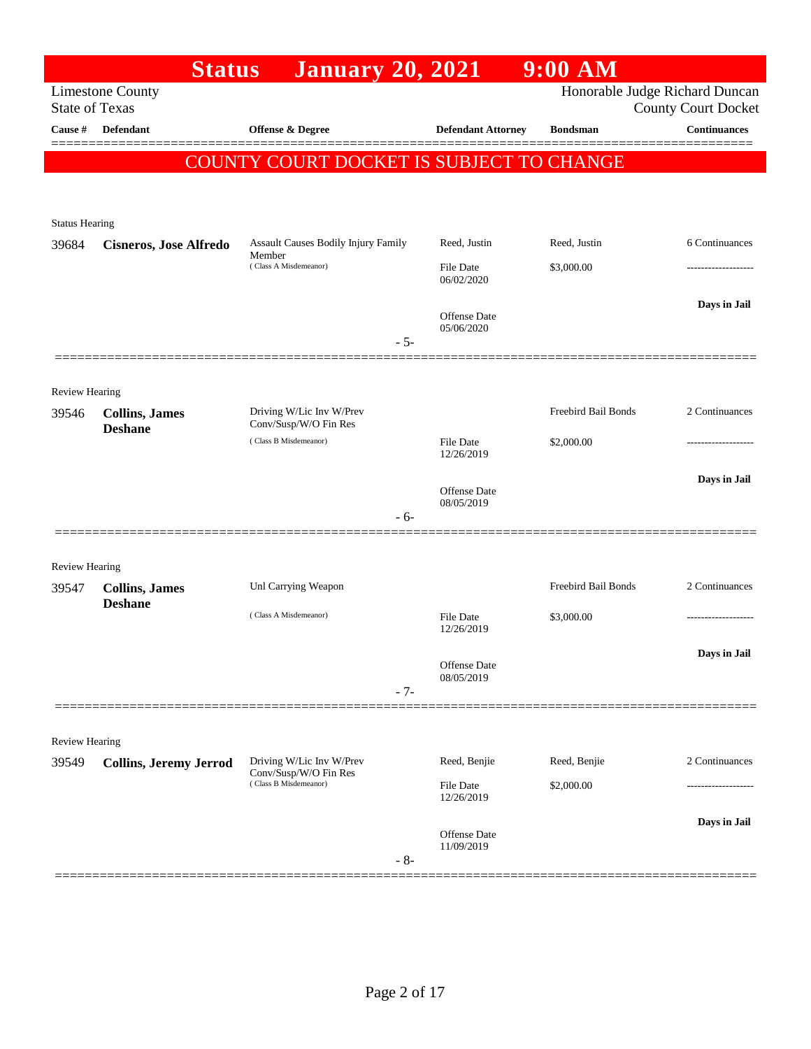|                         | <b>Status</b>                           | <b>January 20, 2021</b>                           |                                   | $9:00$ AM           |                                                              |
|-------------------------|-----------------------------------------|---------------------------------------------------|-----------------------------------|---------------------|--------------------------------------------------------------|
| <b>State of Texas</b>   | <b>Limestone County</b>                 |                                                   |                                   |                     | Honorable Judge Richard Duncan<br><b>County Court Docket</b> |
| Cause #                 | <b>Defendant</b>                        | Offense & Degree                                  | <b>Defendant Attorney</b>         | <b>Bondsman</b>     | <b>Continuances</b>                                          |
|                         |                                         | COUNTY COURT DOCKET IS SUBJECT TO CHANGE          |                                   |                     |                                                              |
|                         |                                         |                                                   |                                   |                     |                                                              |
| <b>Status Hearing</b>   |                                         |                                                   |                                   |                     |                                                              |
| 39684                   | <b>Cisneros, Jose Alfredo</b>           | Assault Causes Bodily Injury Family               | Reed, Justin                      | Reed, Justin        | 6 Continuances                                               |
|                         |                                         | Member<br>(Class A Misdemeanor)                   | <b>File Date</b><br>06/02/2020    | \$3,000.00          |                                                              |
|                         |                                         |                                                   | <b>Offense</b> Date<br>05/06/2020 |                     | Days in Jail                                                 |
|                         |                                         | $-5-$                                             |                                   |                     |                                                              |
|                         |                                         |                                                   |                                   |                     |                                                              |
| Review Hearing<br>39546 | <b>Collins</b> , James                  | Driving W/Lic Inv W/Prev<br>Conv/Susp/W/O Fin Res |                                   | Freebird Bail Bonds | 2 Continuances                                               |
|                         | <b>Deshane</b>                          | (Class B Misdemeanor)                             | <b>File Date</b><br>12/26/2019    | \$2,000.00          |                                                              |
|                         |                                         |                                                   | <b>Offense</b> Date<br>08/05/2019 |                     | Days in Jail                                                 |
|                         |                                         | $-6-$                                             |                                   |                     |                                                              |
|                         |                                         |                                                   |                                   |                     |                                                              |
| Review Hearing<br>39547 | <b>Collins, James</b><br><b>Deshane</b> | Unl Carrying Weapon                               |                                   | Freebird Bail Bonds | 2 Continuances                                               |
|                         |                                         | (Class A Misdemeanor)                             | <b>File Date</b><br>12/26/2019    | \$3,000.00          | .                                                            |
|                         |                                         |                                                   | <b>Offense Date</b><br>08/05/2019 |                     | Days in Jail                                                 |
|                         |                                         | $-7-$                                             |                                   |                     |                                                              |
| Review Hearing          |                                         |                                                   |                                   |                     |                                                              |
| 39549                   | <b>Collins, Jeremy Jerrod</b>           | Driving W/Lic Inv W/Prev                          | Reed, Benjie                      | Reed, Benjie        | 2 Continuances                                               |
|                         |                                         | Conv/Susp/W/O Fin Res<br>(Class B Misdemeanor)    | <b>File Date</b><br>12/26/2019    | \$2,000.00          |                                                              |
|                         |                                         | $-8-$                                             | <b>Offense Date</b><br>11/09/2019 |                     | Days in Jail                                                 |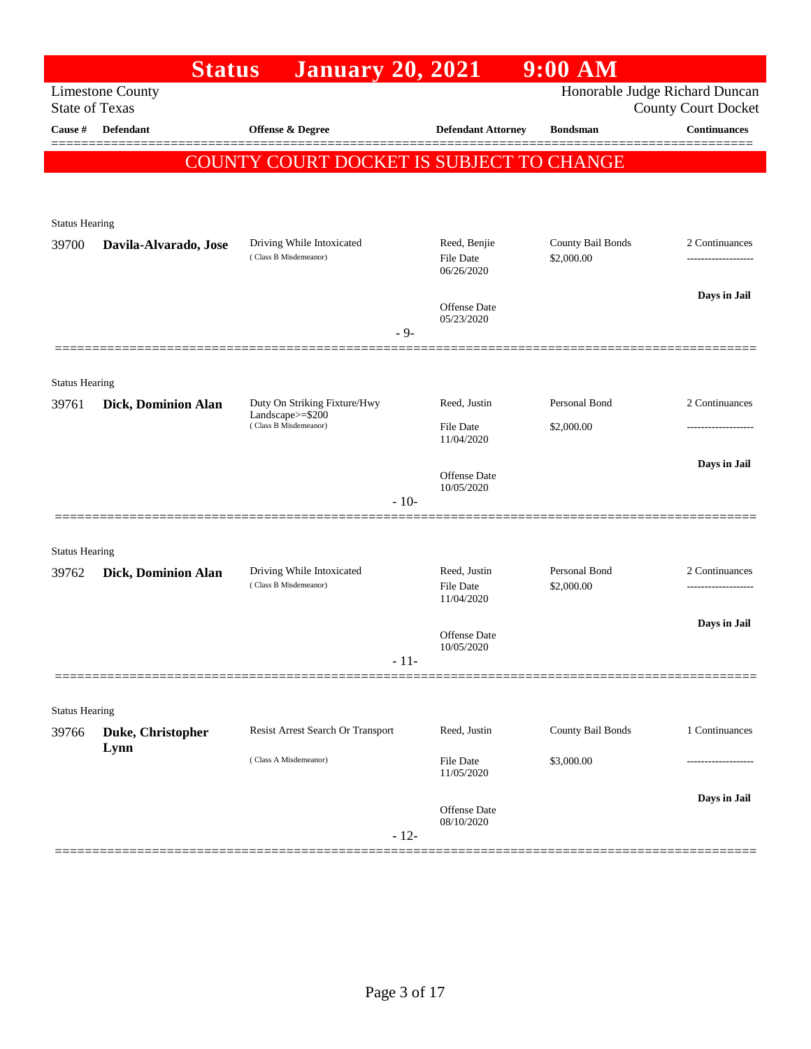|                       | <b>Status</b>             | <b>January 20, 2021</b>                                                   |                                                | $9:00$ AM                       |                                                              |
|-----------------------|---------------------------|---------------------------------------------------------------------------|------------------------------------------------|---------------------------------|--------------------------------------------------------------|
| <b>State of Texas</b> | <b>Limestone County</b>   |                                                                           |                                                |                                 | Honorable Judge Richard Duncan<br><b>County Court Docket</b> |
| Cause #               | <b>Defendant</b>          | Offense & Degree                                                          | <b>Defendant Attorney</b>                      | <b>Bondsman</b>                 | <b>Continuances</b>                                          |
|                       |                           | COUNTY COURT DOCKET IS SUBJECT TO CHANGE                                  |                                                |                                 |                                                              |
| <b>Status Hearing</b> |                           |                                                                           |                                                |                                 |                                                              |
| 39700                 | Davila-Alvarado, Jose     | Driving While Intoxicated<br>(Class B Misdemeanor)                        | Reed, Benjie<br>File Date<br>06/26/2020        | County Bail Bonds<br>\$2,000.00 | 2 Continuances                                               |
|                       |                           | $-9-$                                                                     | <b>Offense</b> Date<br>05/23/2020              |                                 | Days in Jail                                                 |
| <b>Status Hearing</b> |                           |                                                                           |                                                |                                 |                                                              |
| 39761                 | Dick, Dominion Alan       | Duty On Striking Fixture/Hwy<br>Landscape>=\$200<br>(Class B Misdemeanor) | Reed, Justin<br><b>File Date</b><br>11/04/2020 | Personal Bond<br>\$2,000.00     | 2 Continuances                                               |
|                       |                           | $-10-$                                                                    | Offense Date<br>10/05/2020                     |                                 | Days in Jail                                                 |
| <b>Status Hearing</b> |                           |                                                                           |                                                |                                 |                                                              |
| 39762                 | Dick, Dominion Alan       | Driving While Intoxicated<br>(Class B Misdemeanor)                        | Reed, Justin<br><b>File Date</b><br>11/04/2020 | Personal Bond<br>\$2,000.00     | 2 Continuances<br>-------------------                        |
|                       |                           | $-11-$                                                                    | Offense Date<br>10/05/2020                     |                                 | Days in Jail                                                 |
| <b>Status Hearing</b> |                           |                                                                           |                                                |                                 |                                                              |
| 39766                 | Duke, Christopher<br>Lynn | Resist Arrest Search Or Transport                                         | Reed, Justin                                   | County Bail Bonds               | 1 Continuances                                               |
|                       |                           | (Class A Misdemeanor)                                                     | File Date<br>11/05/2020                        | \$3,000.00                      |                                                              |
|                       |                           | $-12-$                                                                    | Offense Date<br>08/10/2020                     |                                 | Days in Jail                                                 |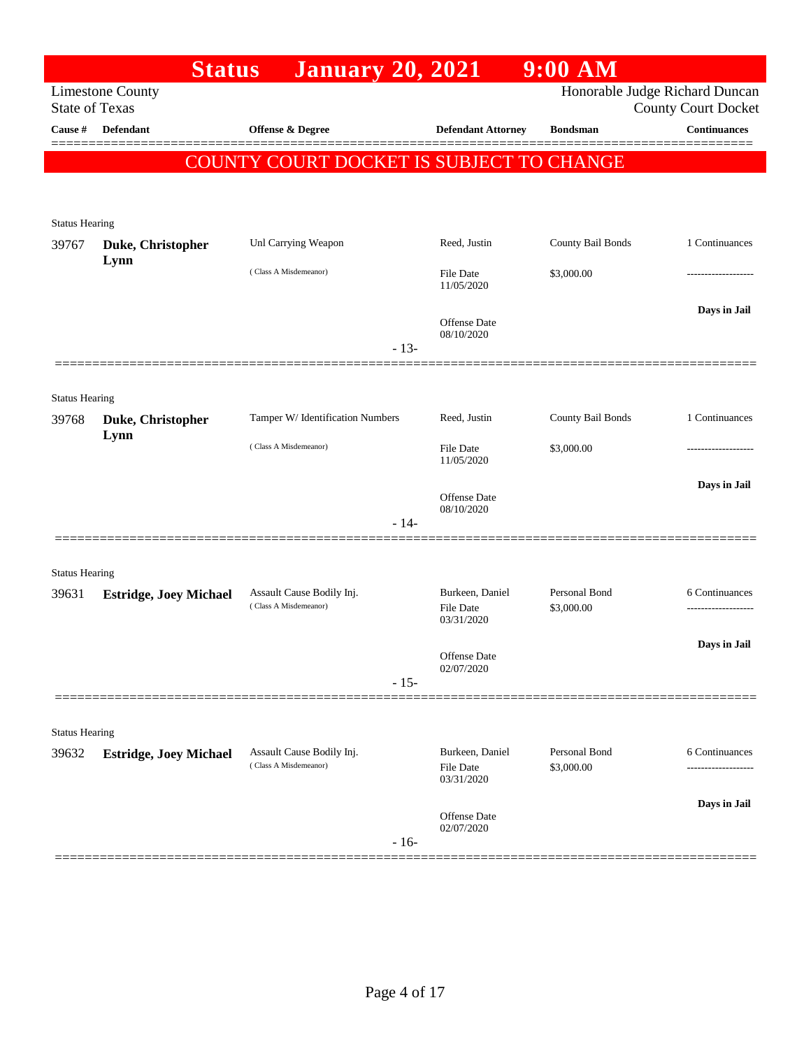|                                | <b>Status</b>                 | <b>January 20, 2021</b>                            |                                                   | $9:00$ AM                   |                                                              |
|--------------------------------|-------------------------------|----------------------------------------------------|---------------------------------------------------|-----------------------------|--------------------------------------------------------------|
| <b>State of Texas</b>          | <b>Limestone County</b>       |                                                    |                                                   |                             | Honorable Judge Richard Duncan<br><b>County Court Docket</b> |
| Cause #                        | <b>Defendant</b>              | <b>Offense &amp; Degree</b>                        | <b>Defendant Attorney</b>                         | <b>Bondsman</b>             | <b>Continuances</b>                                          |
|                                |                               | COUNTY COURT DOCKET IS SUBJECT TO CHANGE           |                                                   |                             |                                                              |
| <b>Status Hearing</b>          |                               |                                                    |                                                   |                             |                                                              |
| 39767                          | Duke, Christopher             | Unl Carrying Weapon                                | Reed, Justin                                      | County Bail Bonds           | 1 Continuances                                               |
|                                | Lynn                          | (Class A Misdemeanor)                              | <b>File Date</b><br>11/05/2020                    | \$3,000.00                  |                                                              |
|                                |                               | $-13-$                                             | <b>Offense Date</b><br>08/10/2020                 |                             | Days in Jail                                                 |
|                                |                               |                                                    |                                                   |                             |                                                              |
| <b>Status Hearing</b>          |                               |                                                    |                                                   |                             |                                                              |
| 39768                          | Duke, Christopher<br>Lynn     | Tamper W/ Identification Numbers                   | Reed, Justin                                      | County Bail Bonds           | 1 Continuances                                               |
|                                |                               | (Class A Misdemeanor)                              | <b>File Date</b><br>11/05/2020                    | \$3,000.00                  | ----------------                                             |
|                                |                               |                                                    | <b>Offense Date</b><br>08/10/2020                 |                             | Days in Jail                                                 |
|                                |                               | $-14-$                                             |                                                   |                             |                                                              |
| <b>Status Hearing</b>          |                               |                                                    |                                                   |                             |                                                              |
| 39631                          | <b>Estridge, Joey Michael</b> | Assault Cause Bodily Inj.<br>(Class A Misdemeanor) | Burkeen, Daniel<br><b>File Date</b><br>03/31/2020 | Personal Bond<br>\$3,000.00 | 6 Continuances                                               |
|                                |                               |                                                    | Offense Date<br>02/07/2020                        |                             | Days in Jail                                                 |
|                                |                               | $-15-$                                             |                                                   |                             |                                                              |
|                                |                               |                                                    |                                                   |                             |                                                              |
| <b>Status Hearing</b><br>39632 | <b>Estridge, Joey Michael</b> | Assault Cause Bodily Inj.                          | Burkeen, Daniel                                   | Personal Bond               | 6 Continuances                                               |
|                                |                               | (Class A Misdemeanor)                              | <b>File Date</b><br>03/31/2020                    | \$3,000.00                  |                                                              |
|                                |                               | $-16-$                                             | Offense Date<br>02/07/2020                        |                             | Days in Jail                                                 |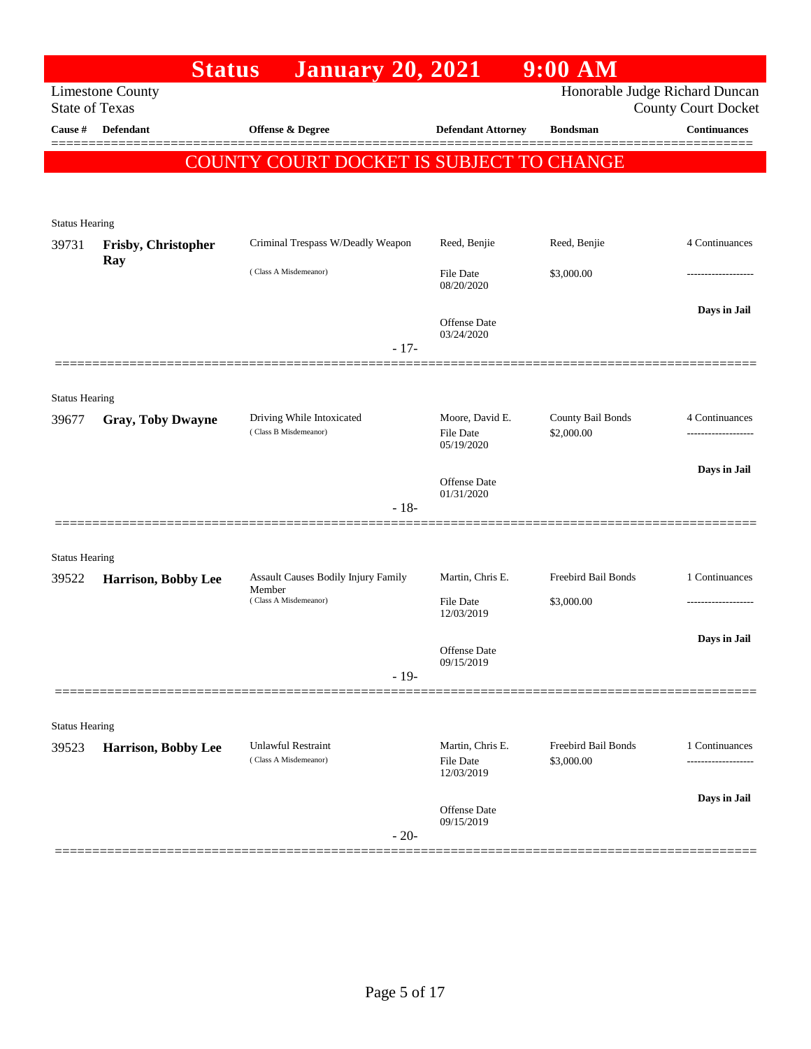| <b>State of Texas</b><br>Cause # | <b>Limestone County</b><br>Defendant | <b>January 20, 2021</b>                            |                                            |                                 | Honorable Judge Richard Duncan |
|----------------------------------|--------------------------------------|----------------------------------------------------|--------------------------------------------|---------------------------------|--------------------------------|
|                                  |                                      |                                                    |                                            |                                 | <b>County Court Docket</b>     |
|                                  |                                      | Offense & Degree                                   | <b>Defendant Attorney</b>                  | <b>Bondsman</b>                 | <b>Continuances</b>            |
|                                  |                                      | COUNTY COURT DOCKET IS SUBJECT TO CHANGE           |                                            |                                 |                                |
|                                  |                                      |                                                    |                                            |                                 |                                |
| <b>Status Hearing</b>            |                                      |                                                    |                                            |                                 |                                |
| 39731                            | Frisby, Christopher                  | Criminal Trespass W/Deadly Weapon                  | Reed, Benjie                               | Reed, Benjie                    | 4 Continuances                 |
|                                  | Ray                                  | (Class A Misdemeanor)                              | <b>File Date</b><br>08/20/2020             | \$3,000.00                      |                                |
|                                  |                                      | $-17-$                                             | Offense Date<br>03/24/2020                 |                                 | Days in Jail                   |
|                                  |                                      |                                                    |                                            |                                 |                                |
| <b>Status Hearing</b>            |                                      |                                                    |                                            |                                 |                                |
| 39677                            | <b>Gray, Toby Dwayne</b>             | Driving While Intoxicated<br>(Class B Misdemeanor) | Moore, David E.<br>File Date<br>05/19/2020 | County Bail Bonds<br>\$2,000.00 | 4 Continuances                 |
|                                  |                                      |                                                    | <b>Offense</b> Date                        |                                 | Days in Jail                   |
|                                  |                                      | $-18-$                                             | 01/31/2020                                 |                                 |                                |
|                                  |                                      |                                                    |                                            |                                 |                                |
| <b>Status Hearing</b><br>39522   | Harrison, Bobby Lee                  | Assault Causes Bodily Injury Family                | Martin, Chris E.                           | Freebird Bail Bonds             | 1 Continuances                 |
|                                  |                                      | Member<br>(Class A Misdemeanor)                    | File Date<br>12/03/2019                    | \$3,000.00                      |                                |
|                                  |                                      |                                                    | Offense Date                               |                                 | Days in Jail                   |
|                                  |                                      | $-19-$                                             | 09/15/2019                                 |                                 |                                |
|                                  |                                      |                                                    |                                            |                                 |                                |
| <b>Status Hearing</b><br>39523   | Harrison, Bobby Lee                  | Unlawful Restraint                                 | Martin, Chris E.                           | Freebird Bail Bonds             | 1 Continuances                 |
|                                  |                                      | (Class A Misdemeanor)                              | <b>File Date</b><br>12/03/2019             | \$3,000.00                      |                                |
|                                  |                                      |                                                    | Offense Date                               |                                 | Days in Jail                   |
|                                  |                                      | $-20-$                                             | 09/15/2019                                 |                                 |                                |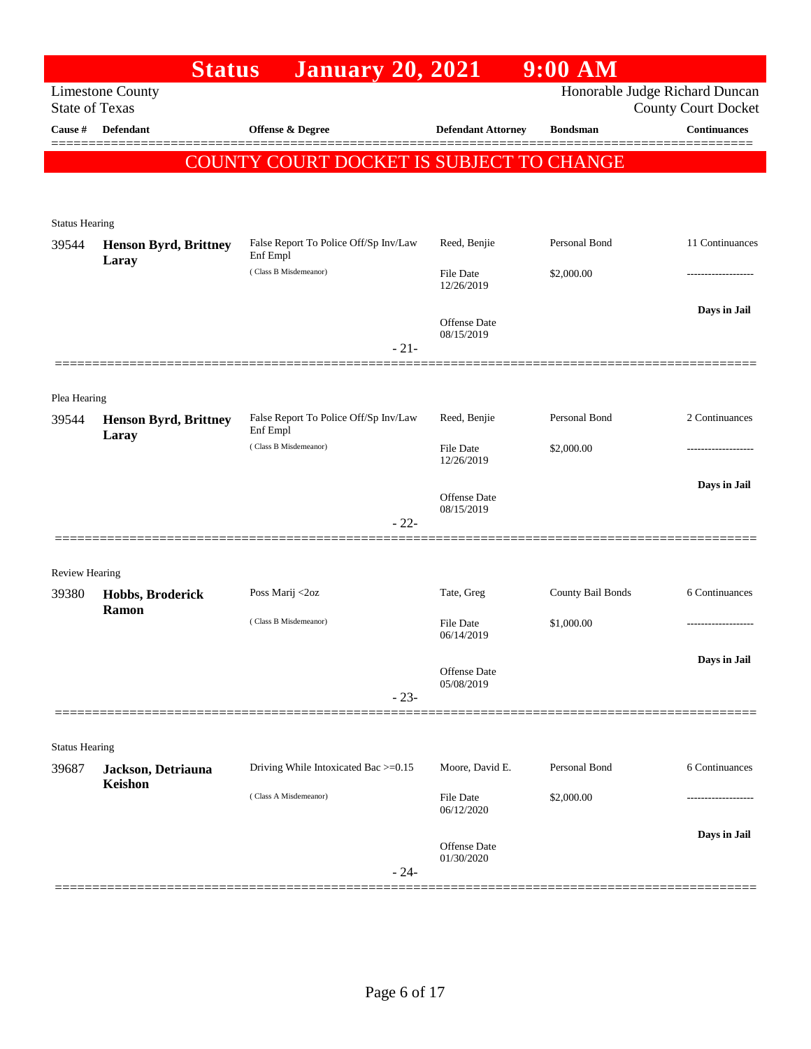|                                | <b>Status</b>                         | <b>January 20, 2021</b>                           |                                   | $9:00$ AM         |                                                              |
|--------------------------------|---------------------------------------|---------------------------------------------------|-----------------------------------|-------------------|--------------------------------------------------------------|
| <b>State of Texas</b>          | <b>Limestone County</b>               |                                                   |                                   |                   | Honorable Judge Richard Duncan<br><b>County Court Docket</b> |
| Cause #                        | <b>Defendant</b>                      | <b>Offense &amp; Degree</b>                       | <b>Defendant Attorney</b>         | <b>Bondsman</b>   | <b>Continuances</b>                                          |
|                                |                                       | COUNTY COURT DOCKET IS SUBJECT TO CHANGE          |                                   |                   |                                                              |
|                                |                                       |                                                   |                                   |                   |                                                              |
|                                |                                       |                                                   |                                   |                   |                                                              |
| <b>Status Hearing</b><br>39544 | <b>Henson Byrd, Brittney</b><br>Laray | False Report To Police Off/Sp Inv/Law<br>Enf Empl | Reed, Benjie                      | Personal Bond     | 11 Continuances                                              |
|                                |                                       | (Class B Misdemeanor)                             | <b>File Date</b><br>12/26/2019    | \$2,000.00        |                                                              |
|                                |                                       |                                                   | <b>Offense</b> Date<br>08/15/2019 |                   | Days in Jail                                                 |
|                                |                                       | $-21-$                                            |                                   |                   |                                                              |
| Plea Hearing                   |                                       |                                                   |                                   |                   |                                                              |
| 39544                          | <b>Henson Byrd, Brittney</b><br>Laray | False Report To Police Off/Sp Inv/Law<br>Enf Empl | Reed, Benjie                      | Personal Bond     | 2 Continuances                                               |
|                                |                                       | (Class B Misdemeanor)                             | File Date<br>12/26/2019           | \$2,000.00        |                                                              |
|                                |                                       |                                                   | <b>Offense</b> Date               |                   | Days in Jail                                                 |
|                                |                                       | $-22-$                                            | 08/15/2019                        |                   |                                                              |
| <b>Review Hearing</b>          |                                       |                                                   |                                   |                   |                                                              |
| 39380                          | Hobbs, Broderick<br><b>Ramon</b>      | Poss Marij <2oz                                   | Tate, Greg                        | County Bail Bonds | 6 Continuances                                               |
|                                |                                       | (Class B Misdemeanor)                             | File Date<br>06/14/2019           | \$1,000.00        | .                                                            |
|                                |                                       |                                                   | <b>Offense Date</b>               |                   | Days in Jail                                                 |
|                                |                                       | $-23-$                                            | 05/08/2019                        |                   |                                                              |
|                                |                                       |                                                   |                                   |                   |                                                              |
| <b>Status Hearing</b>          |                                       | Driving While Intoxicated Bac >=0.15              | Moore, David E.                   | Personal Bond     | 6 Continuances                                               |
| 39687                          | Jackson, Detriauna<br>Keishon         |                                                   |                                   |                   |                                                              |
|                                |                                       | (Class A Misdemeanor)                             | File Date<br>06/12/2020           | \$2,000.00        |                                                              |
|                                |                                       |                                                   | <b>Offense</b> Date<br>01/30/2020 |                   | Days in Jail                                                 |
|                                |                                       | $-24-$                                            |                                   |                   |                                                              |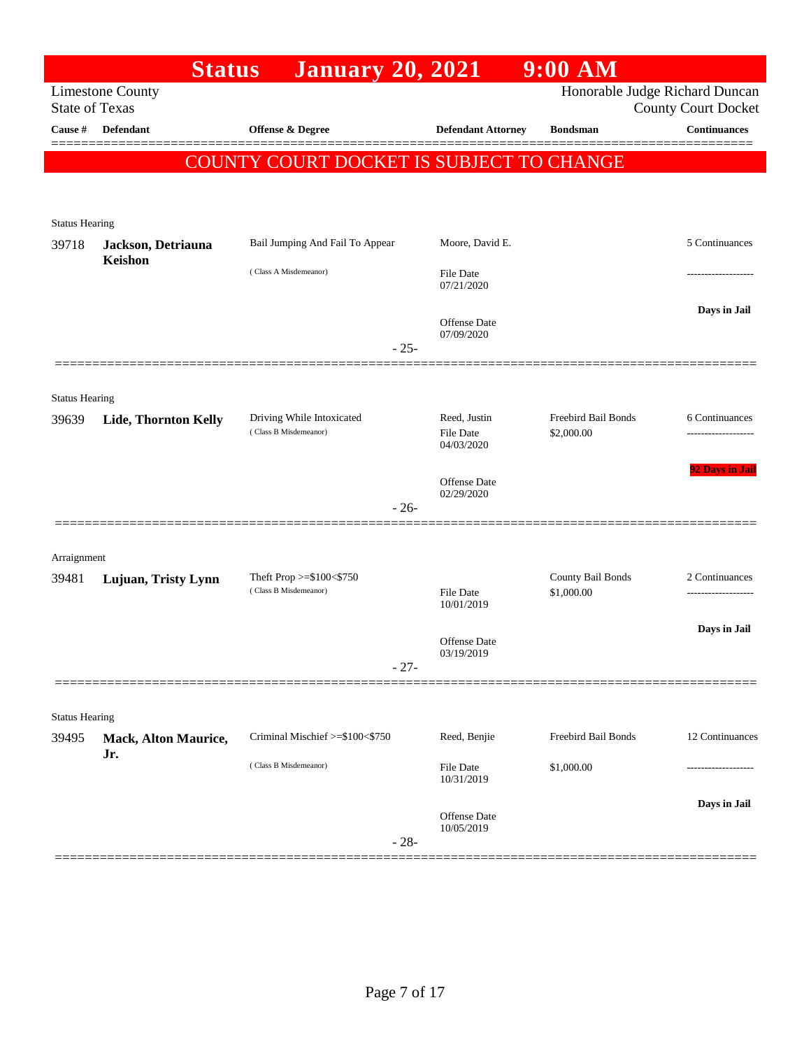|                                | <b>Status</b>                 | <b>January 20, 2021</b>                            |                                         | $9:00$ AM                         |                                                              |
|--------------------------------|-------------------------------|----------------------------------------------------|-----------------------------------------|-----------------------------------|--------------------------------------------------------------|
| <b>State of Texas</b>          | <b>Limestone County</b>       |                                                    |                                         |                                   | Honorable Judge Richard Duncan<br><b>County Court Docket</b> |
| Cause #                        | <b>Defendant</b>              | Offense & Degree                                   | <b>Defendant Attorney</b>               | <b>Bondsman</b>                   | <b>Continuances</b>                                          |
|                                |                               |                                                    |                                         |                                   |                                                              |
|                                |                               | <b>COUNTY COURT DOCKET IS SUBJECT TO CHANGE</b>    |                                         |                                   |                                                              |
|                                |                               |                                                    |                                         |                                   |                                                              |
| <b>Status Hearing</b>          |                               |                                                    |                                         |                                   |                                                              |
| 39718                          | Jackson, Detriauna<br>Keishon | Bail Jumping And Fail To Appear                    | Moore, David E.                         |                                   | 5 Continuances                                               |
|                                |                               | (Class A Misdemeanor)                              | File Date<br>07/21/2020                 |                                   |                                                              |
|                                |                               | $-25-$                                             | <b>Offense</b> Date<br>07/09/2020       |                                   | Days in Jail                                                 |
|                                |                               |                                                    |                                         |                                   |                                                              |
|                                |                               |                                                    |                                         |                                   |                                                              |
| <b>Status Hearing</b><br>39639 | Lide, Thornton Kelly          | Driving While Intoxicated<br>(Class B Misdemeanor) | Reed, Justin<br>File Date<br>04/03/2020 | Freebird Bail Bonds<br>\$2,000.00 | 6 Continuances                                               |
|                                |                               |                                                    | <b>Offense</b> Date<br>02/29/2020       |                                   | 92 Days in Jail                                              |
|                                |                               | $-26-$                                             |                                         |                                   |                                                              |
|                                |                               |                                                    |                                         |                                   |                                                              |
| Arraignment                    |                               | Theft Prop $>=\$100<\$750$                         |                                         | County Bail Bonds                 | 2 Continuances                                               |
| 39481                          | Lujuan, Tristy Lynn           | (Class B Misdemeanor)                              | <b>File Date</b><br>10/01/2019          | \$1,000.00                        |                                                              |
|                                |                               |                                                    | <b>Offense</b> Date<br>03/19/2019       |                                   | Days in Jail                                                 |
|                                |                               | $-27-$                                             |                                         |                                   |                                                              |
|                                |                               |                                                    |                                         |                                   |                                                              |
| <b>Status Hearing</b>          |                               |                                                    |                                         |                                   |                                                              |
| 39495                          | Mack, Alton Maurice,<br>Jr.   | Criminal Mischief >=\$100<\$750                    | Reed, Benjie                            | Freebird Bail Bonds               | 12 Continuances                                              |
|                                |                               | (Class B Misdemeanor)                              | File Date<br>10/31/2019                 | \$1,000.00                        |                                                              |
|                                |                               | $-28-$                                             | Offense Date<br>10/05/2019              |                                   | Days in Jail                                                 |
|                                |                               |                                                    |                                         |                                   |                                                              |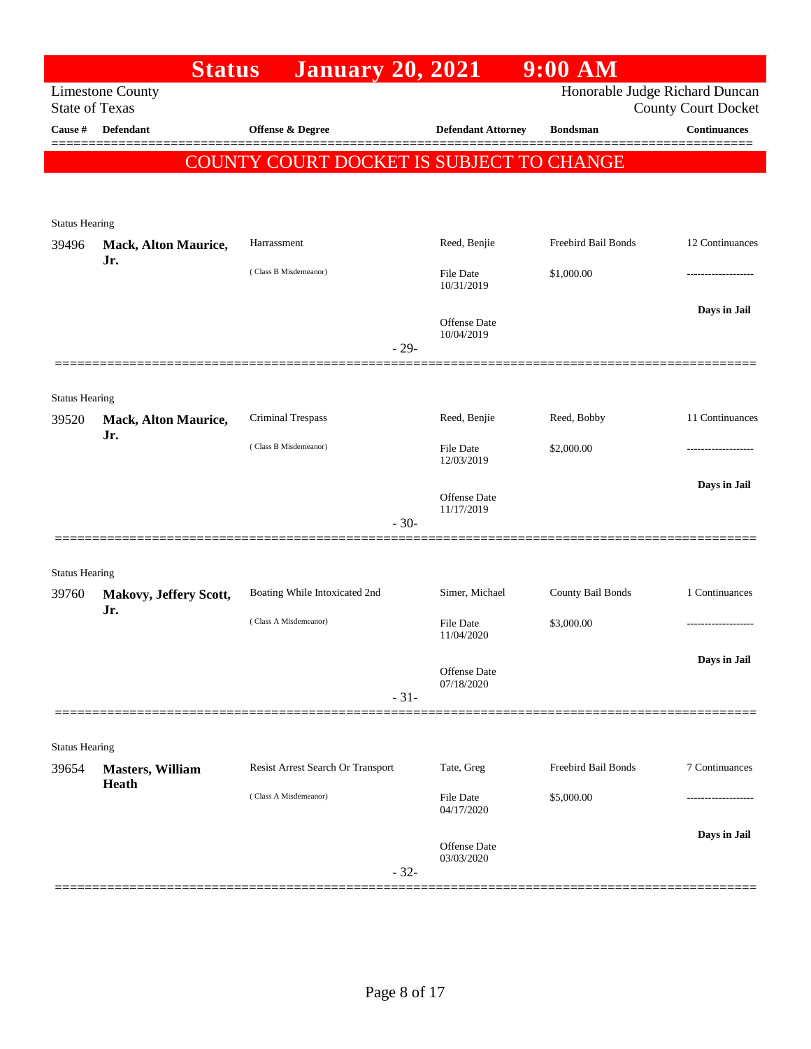|                                | <b>Status</b>                    | <b>January 20, 2021</b>                  |                                | $9:00$ AM           |                                                              |
|--------------------------------|----------------------------------|------------------------------------------|--------------------------------|---------------------|--------------------------------------------------------------|
| <b>State of Texas</b>          | <b>Limestone County</b>          |                                          |                                |                     | Honorable Judge Richard Duncan<br><b>County Court Docket</b> |
| Cause #                        | <b>Defendant</b>                 | Offense & Degree                         | <b>Defendant Attorney</b>      | <b>Bondsman</b>     | <b>Continuances</b>                                          |
|                                |                                  | COUNTY COURT DOCKET IS SUBJECT TO CHANGE |                                |                     |                                                              |
|                                |                                  |                                          |                                |                     |                                                              |
|                                |                                  |                                          |                                |                     |                                                              |
| <b>Status Hearing</b><br>39496 | Mack, Alton Maurice,             | Harrassment                              | Reed, Benjie                   | Freebird Bail Bonds | 12 Continuances                                              |
|                                | Jr.                              | (Class B Misdemeanor)                    | File Date                      | \$1,000.00          |                                                              |
|                                |                                  |                                          | 10/31/2019                     |                     |                                                              |
|                                |                                  |                                          | Offense Date                   |                     | Days in Jail                                                 |
|                                |                                  | $-29-$                                   | 10/04/2019                     |                     |                                                              |
|                                |                                  |                                          |                                |                     |                                                              |
| <b>Status Hearing</b>          |                                  |                                          |                                |                     |                                                              |
| 39520                          | Mack, Alton Maurice,             | Criminal Trespass                        | Reed, Benjie                   | Reed, Bobby         | 11 Continuances                                              |
|                                | Jr.                              | (Class B Misdemeanor)                    | File Date                      | \$2,000.00          |                                                              |
|                                |                                  |                                          | 12/03/2019                     |                     |                                                              |
|                                |                                  |                                          | Offense Date                   |                     | Days in Jail                                                 |
|                                |                                  | $-30-$                                   | 11/17/2019                     |                     |                                                              |
|                                |                                  |                                          |                                |                     |                                                              |
| <b>Status Hearing</b>          |                                  |                                          |                                |                     |                                                              |
| 39760                          | Makovy, Jeffery Scott,<br>Jr.    | Boating While Intoxicated 2nd            | Simer, Michael                 | County Bail Bonds   | 1 Continuances                                               |
|                                |                                  | (Class A Misdemeanor)                    | <b>File Date</b><br>11/04/2020 | \$3,000.00          |                                                              |
|                                |                                  |                                          |                                |                     | Days in Jail                                                 |
|                                |                                  |                                          | Offense Date<br>07/18/2020     |                     |                                                              |
|                                |                                  | $-31-$                                   |                                |                     |                                                              |
|                                |                                  |                                          |                                |                     |                                                              |
| <b>Status Hearing</b>          |                                  |                                          | Tate, Greg                     | Freebird Bail Bonds | 7 Continuances                                               |
| 39654                          | <b>Masters, William</b><br>Heath | Resist Arrest Search Or Transport        |                                |                     |                                                              |
|                                |                                  | (Class A Misdemeanor)                    | File Date<br>04/17/2020        | \$5,000.00          | -----------------                                            |
|                                |                                  |                                          |                                |                     | Days in Jail                                                 |
|                                |                                  |                                          | Offense Date<br>03/03/2020     |                     |                                                              |
|                                |                                  | $-32-$                                   |                                |                     |                                                              |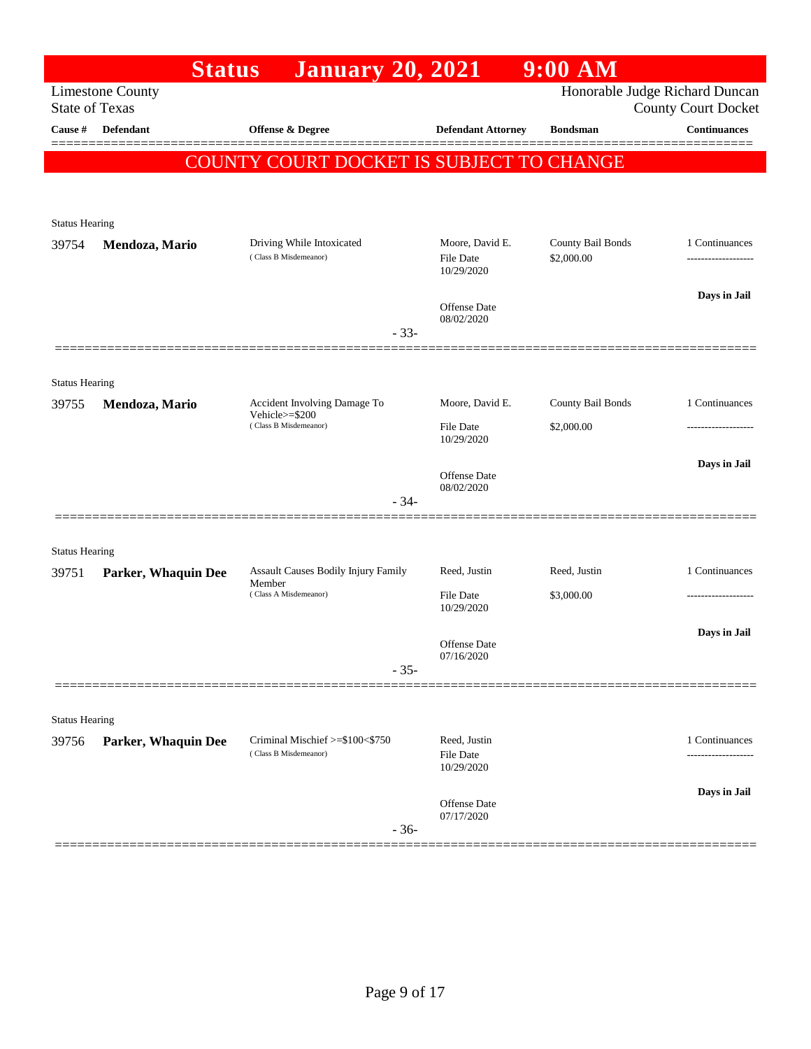|                       | <b>Status</b>           | <b>January 20, 2021</b>                         |                                | $9:00$ AM         |                                                              |
|-----------------------|-------------------------|-------------------------------------------------|--------------------------------|-------------------|--------------------------------------------------------------|
| <b>State of Texas</b> | <b>Limestone County</b> |                                                 |                                |                   | Honorable Judge Richard Duncan<br><b>County Court Docket</b> |
| Cause #               | Defendant               | Offense & Degree                                | <b>Defendant Attorney</b>      | <b>Bondsman</b>   | <b>Continuances</b>                                          |
|                       |                         | <b>COUNTY COURT DOCKET IS SUBJECT TO CHANGE</b> |                                |                   |                                                              |
|                       |                         |                                                 |                                |                   |                                                              |
| <b>Status Hearing</b> |                         |                                                 |                                |                   |                                                              |
| 39754                 | Mendoza, Mario          | Driving While Intoxicated                       | Moore, David E.                | County Bail Bonds | 1 Continuances                                               |
|                       |                         | (Class B Misdemeanor)                           | <b>File Date</b><br>10/29/2020 | \$2,000.00        |                                                              |
|                       |                         |                                                 | Offense Date                   |                   | Days in Jail                                                 |
|                       |                         | $-33-$                                          | 08/02/2020                     |                   |                                                              |
|                       |                         |                                                 |                                |                   |                                                              |
| <b>Status Hearing</b> |                         |                                                 |                                |                   |                                                              |
| 39755                 | Mendoza, Mario          | Accident Involving Damage To<br>Vehicle>=\$200  | Moore, David E.                | County Bail Bonds | 1 Continuances                                               |
|                       | (Class B Misdemeanor)   |                                                 | File Date<br>10/29/2020        | \$2,000.00        | ---------------                                              |
|                       |                         |                                                 | <b>Offense</b> Date            |                   | Days in Jail                                                 |
|                       |                         | $-34-$                                          | 08/02/2020                     |                   |                                                              |
|                       |                         |                                                 |                                |                   |                                                              |
| <b>Status Hearing</b> |                         |                                                 |                                |                   |                                                              |
| 39751                 | Parker, Whaquin Dee     | Assault Causes Bodily Injury Family<br>Member   | Reed, Justin                   | Reed, Justin      | 1 Continuances                                               |
|                       |                         | (Class A Misdemeanor)                           | File Date<br>10/29/2020        | \$3,000.00        |                                                              |
|                       |                         |                                                 |                                |                   | Days in Jail                                                 |
|                       |                         |                                                 | Offense Date<br>07/16/2020     |                   |                                                              |
|                       |                         | $-35-$                                          |                                |                   |                                                              |
| <b>Status Hearing</b> |                         |                                                 |                                |                   |                                                              |
| 39756                 | Parker, Whaquin Dee     | Criminal Mischief >=\$100<\$750                 | Reed, Justin                   |                   | 1 Continuances                                               |
|                       |                         | (Class B Misdemeanor)                           | File Date<br>10/29/2020        |                   | .                                                            |
|                       |                         |                                                 |                                |                   | Days in Jail                                                 |
|                       |                         | $-36-$                                          | Offense Date<br>07/17/2020     |                   |                                                              |
|                       |                         |                                                 |                                |                   |                                                              |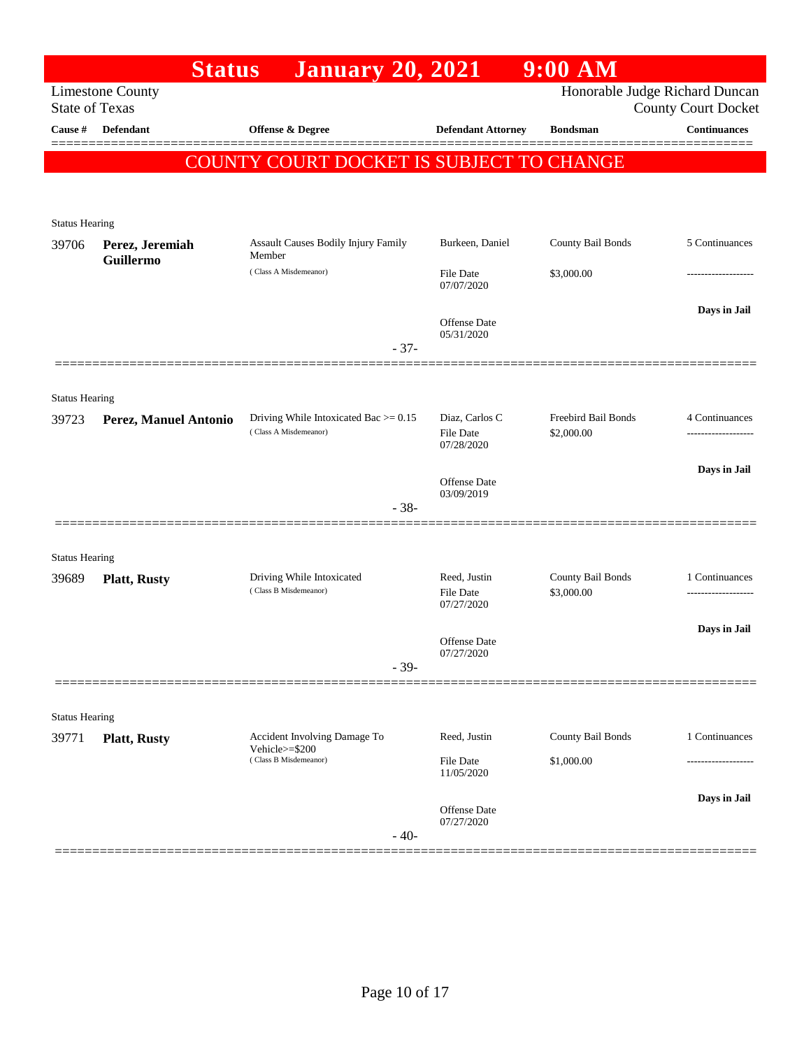|                                | <b>Status</b>           | <b>January 20, 2021</b>                                           |                                    | $9:00$ AM                       |                                |
|--------------------------------|-------------------------|-------------------------------------------------------------------|------------------------------------|---------------------------------|--------------------------------|
|                                | <b>Limestone County</b> |                                                                   |                                    |                                 | Honorable Judge Richard Duncan |
| <b>State of Texas</b>          |                         |                                                                   |                                    |                                 | <b>County Court Docket</b>     |
| Cause #                        | <b>Defendant</b>        | Offense $\&$ Degree                                               | <b>Defendant Attorney</b>          | <b>Bondsman</b>                 | <b>Continuances</b>            |
|                                |                         | COUNTY COURT DOCKET IS SUBJECT TO CHANGE                          |                                    |                                 |                                |
|                                |                         |                                                                   |                                    |                                 |                                |
|                                |                         |                                                                   |                                    |                                 |                                |
| <b>Status Hearing</b><br>39706 | Perez, Jeremiah         | <b>Assault Causes Bodily Injury Family</b>                        | Burkeen, Daniel                    | County Bail Bonds               | 5 Continuances                 |
|                                | Guillermo               | Member                                                            |                                    |                                 |                                |
|                                |                         | (Class A Misdemeanor)                                             | <b>File Date</b><br>07/07/2020     | \$3,000.00                      |                                |
|                                |                         |                                                                   |                                    |                                 | Days in Jail                   |
|                                |                         |                                                                   | Offense Date<br>05/31/2020         |                                 |                                |
|                                |                         | $-37-$                                                            |                                    |                                 |                                |
|                                |                         |                                                                   |                                    |                                 |                                |
| <b>Status Hearing</b>          |                         |                                                                   |                                    |                                 |                                |
| 39723                          | Perez, Manuel Antonio   | Driving While Intoxicated Bac $> = 0.15$<br>(Class A Misdemeanor) | Diaz, Carlos C<br><b>File Date</b> | Freebird Bail Bonds             | 4 Continuances                 |
|                                |                         |                                                                   | 07/28/2020                         | \$2,000.00                      |                                |
|                                |                         |                                                                   |                                    |                                 | Days in Jail                   |
|                                |                         |                                                                   | Offense Date<br>03/09/2019         |                                 |                                |
|                                |                         | $-38-$                                                            |                                    |                                 |                                |
|                                |                         |                                                                   |                                    |                                 |                                |
| <b>Status Hearing</b>          |                         |                                                                   |                                    |                                 |                                |
| 39689                          | <b>Platt, Rusty</b>     | Driving While Intoxicated<br>(Class B Misdemeanor)                | Reed, Justin<br><b>File Date</b>   | County Bail Bonds<br>\$3,000.00 | 1 Continuances                 |
|                                |                         |                                                                   | 07/27/2020                         |                                 |                                |
|                                |                         |                                                                   | Offense Date                       |                                 | Days in Jail                   |
|                                |                         | $-39-$                                                            | 07/27/2020                         |                                 |                                |
|                                |                         |                                                                   |                                    |                                 |                                |
| <b>Status Hearing</b>          |                         |                                                                   |                                    |                                 |                                |
| 39771                          | <b>Platt, Rusty</b>     | Accident Involving Damage To                                      | Reed, Justin                       | County Bail Bonds               | 1 Continuances                 |
|                                |                         | Vehicle $>=$ \$200<br>(Class B Misdemeanor)                       | <b>File Date</b>                   | \$1,000.00                      |                                |
|                                |                         |                                                                   | 11/05/2020                         |                                 |                                |
|                                |                         |                                                                   | Offense Date                       |                                 | Days in Jail                   |
|                                |                         |                                                                   | 07/27/2020                         |                                 |                                |
|                                |                         | $-40-$                                                            |                                    |                                 |                                |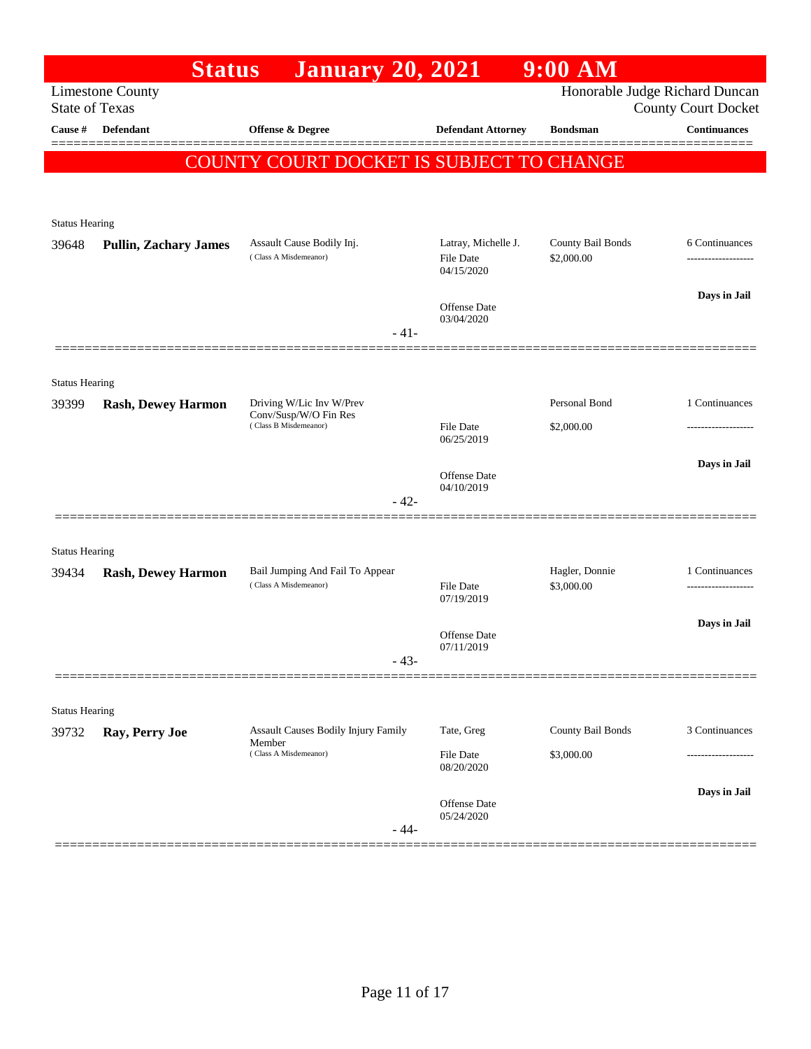|                                | <b>Status</b>                | <b>January 20, 2021</b>                              |                                                | $9:00$ AM                       |                                                              |
|--------------------------------|------------------------------|------------------------------------------------------|------------------------------------------------|---------------------------------|--------------------------------------------------------------|
| <b>State of Texas</b>          | <b>Limestone County</b>      |                                                      |                                                |                                 | Honorable Judge Richard Duncan<br><b>County Court Docket</b> |
| Cause #                        | Defendant                    | <b>Offense &amp; Degree</b>                          | <b>Defendant Attorney</b>                      | <b>Bondsman</b>                 | <b>Continuances</b>                                          |
|                                |                              | COUNTY COURT DOCKET IS SUBJECT TO CHANGE             |                                                |                                 |                                                              |
|                                |                              |                                                      |                                                |                                 |                                                              |
|                                |                              |                                                      |                                                |                                 |                                                              |
| <b>Status Hearing</b>          |                              |                                                      |                                                |                                 |                                                              |
| 39648                          | <b>Pullin, Zachary James</b> | Assault Cause Bodily Inj.<br>(Class A Misdemeanor)   | Latray, Michelle J.<br>File Date<br>04/15/2020 | County Bail Bonds<br>\$2,000.00 | 6 Continuances                                               |
|                                |                              |                                                      |                                                |                                 | Days in Jail                                                 |
|                                |                              |                                                      | Offense Date<br>03/04/2020                     |                                 |                                                              |
|                                |                              | $-41-$                                               |                                                |                                 |                                                              |
|                                |                              |                                                      |                                                |                                 |                                                              |
| <b>Status Hearing</b>          |                              |                                                      |                                                |                                 |                                                              |
| 39399                          | <b>Rash, Dewey Harmon</b>    | Driving W/Lic Inv W/Prev<br>Conv/Susp/W/O Fin Res    |                                                | Personal Bond                   | 1 Continuances                                               |
|                                |                              | (Class B Misdemeanor)                                | <b>File Date</b><br>06/25/2019                 | \$2,000.00                      | .                                                            |
|                                |                              |                                                      |                                                |                                 | Days in Jail                                                 |
|                                |                              |                                                      | Offense Date<br>04/10/2019                     |                                 |                                                              |
|                                |                              | $-42-$                                               |                                                |                                 |                                                              |
|                                |                              |                                                      |                                                |                                 |                                                              |
| <b>Status Hearing</b><br>39434 | <b>Rash, Dewey Harmon</b>    | Bail Jumping And Fail To Appear                      |                                                | Hagler, Donnie                  | 1 Continuances                                               |
|                                |                              | (Class A Misdemeanor)                                | <b>File Date</b><br>07/19/2019                 | \$3,000.00                      |                                                              |
|                                |                              |                                                      |                                                |                                 | Days in Jail                                                 |
|                                |                              |                                                      | Offense Date<br>07/11/2019                     |                                 |                                                              |
|                                |                              | $-43-$                                               |                                                |                                 |                                                              |
|                                |                              |                                                      |                                                |                                 |                                                              |
| <b>Status Hearing</b>          |                              |                                                      |                                                |                                 |                                                              |
| 39732                          | Ray, Perry Joe               | <b>Assault Causes Bodily Injury Family</b><br>Member | Tate, Greg                                     | County Bail Bonds               | 3 Continuances                                               |
|                                |                              | (Class A Misdemeanor)                                | <b>File Date</b><br>08/20/2020                 | \$3,000.00                      |                                                              |
|                                |                              |                                                      |                                                |                                 | Days in Jail                                                 |
|                                |                              |                                                      | Offense Date<br>05/24/2020                     |                                 |                                                              |
|                                |                              | $-44-$                                               |                                                |                                 |                                                              |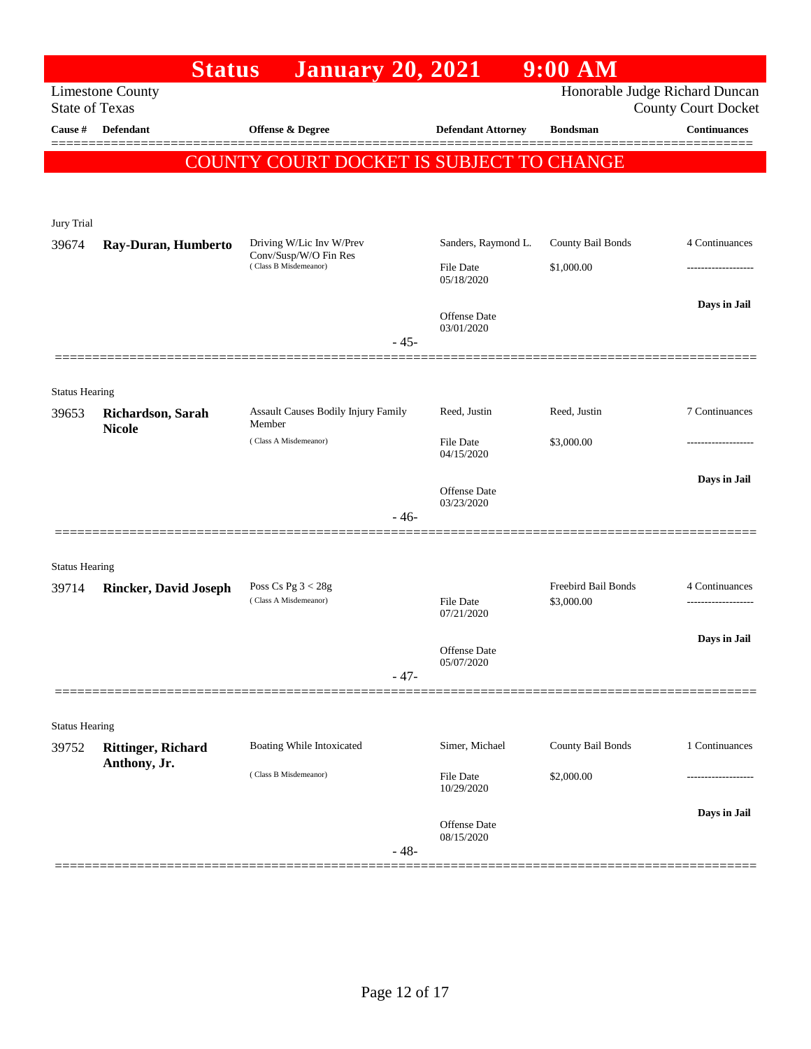|                                | <b>Status</b>                      | <b>January 20, 2021</b>                           |                                | $9:00$ AM                  |                                                              |
|--------------------------------|------------------------------------|---------------------------------------------------|--------------------------------|----------------------------|--------------------------------------------------------------|
| <b>State of Texas</b>          | <b>Limestone County</b>            |                                                   |                                |                            | Honorable Judge Richard Duncan<br><b>County Court Docket</b> |
| Cause #                        | <b>Defendant</b>                   | <b>Offense &amp; Degree</b>                       | <b>Defendant Attorney</b>      | <b>Bondsman</b>            | <b>Continuances</b>                                          |
|                                |                                    |                                                   |                                |                            |                                                              |
|                                |                                    | COUNTY COURT DOCKET IS SUBJECT TO CHANGE          |                                |                            |                                                              |
|                                |                                    |                                                   |                                |                            |                                                              |
| Jury Trial                     |                                    |                                                   |                                |                            |                                                              |
| 39674                          | Ray-Duran, Humberto                | Driving W/Lic Inv W/Prev<br>Conv/Susp/W/O Fin Res | Sanders, Raymond L.            | County Bail Bonds          | 4 Continuances                                               |
|                                |                                    | (Class B Misdemeanor)                             | <b>File Date</b><br>05/18/2020 | \$1,000.00                 |                                                              |
|                                |                                    |                                                   | Offense Date<br>03/01/2020     |                            | Days in Jail                                                 |
|                                |                                    | $-45-$                                            |                                |                            |                                                              |
|                                |                                    |                                                   |                                |                            |                                                              |
| <b>Status Hearing</b>          |                                    |                                                   |                                |                            |                                                              |
| 39653                          | Richardson, Sarah<br><b>Nicole</b> | Assault Causes Bodily Injury Family<br>Member     | Reed, Justin                   | Reed, Justin               | 7 Continuances                                               |
|                                |                                    | (Class A Misdemeanor)                             | <b>File Date</b><br>04/15/2020 | \$3,000.00                 |                                                              |
|                                |                                    |                                                   |                                |                            | Days in Jail                                                 |
|                                |                                    |                                                   | Offense Date<br>03/23/2020     |                            |                                                              |
|                                |                                    | $-46-$                                            |                                |                            |                                                              |
|                                |                                    |                                                   |                                |                            |                                                              |
| <b>Status Hearing</b><br>39714 | <b>Rincker, David Joseph</b>       | Poss Cs Pg $3 < 28g$                              |                                | <b>Freebird Bail Bonds</b> | 4 Continuances                                               |
|                                |                                    | (Class A Misdemeanor)                             | <b>File Date</b><br>07/21/2020 | \$3,000.00                 | -------------------                                          |
|                                |                                    |                                                   |                                |                            | Days in Jail                                                 |
|                                |                                    | $-47-$                                            | Offense Date<br>05/07/2020     |                            |                                                              |
|                                |                                    |                                                   |                                |                            |                                                              |
| <b>Status Hearing</b>          |                                    |                                                   |                                |                            |                                                              |
| 39752                          | <b>Rittinger, Richard</b>          | Boating While Intoxicated                         | Simer, Michael                 | County Bail Bonds          | 1 Continuances                                               |
|                                | Anthony, Jr.                       | (Class B Misdemeanor)                             | File Date<br>10/29/2020        | \$2,000.00                 |                                                              |
|                                |                                    |                                                   |                                |                            | Days in Jail                                                 |
|                                |                                    | $-48-$                                            | Offense Date<br>08/15/2020     |                            |                                                              |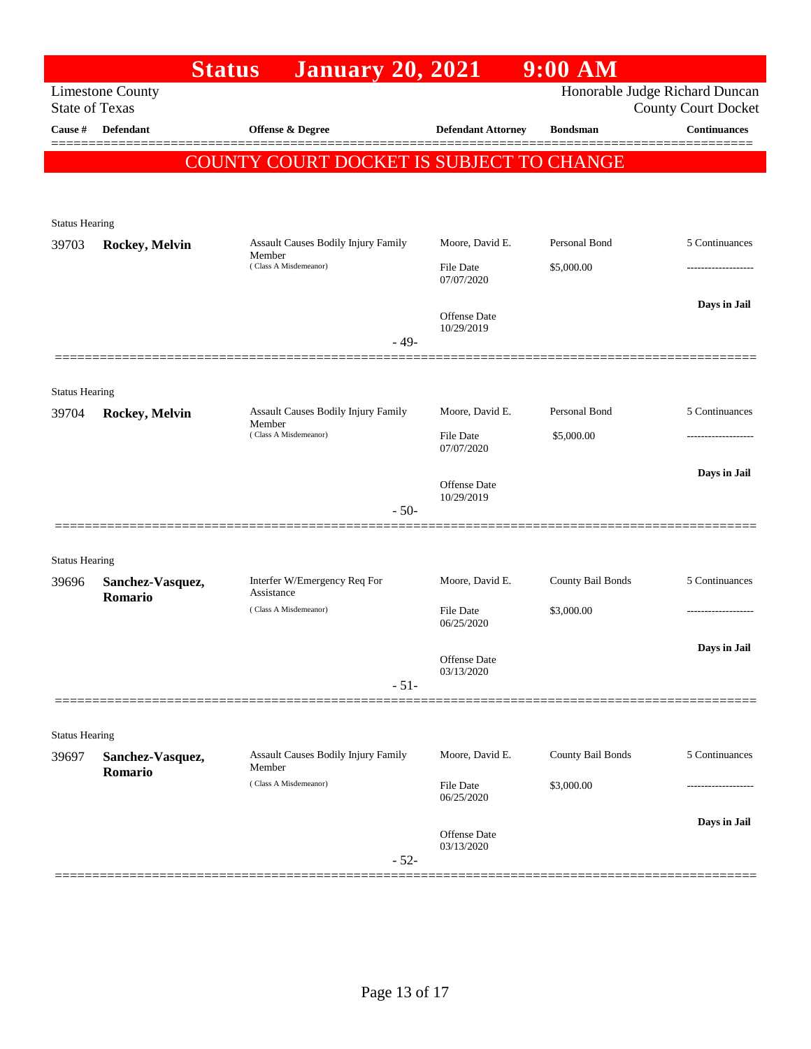|                       | <b>Status</b>               | <b>January 20, 2021</b>                              |                                | $9:00$ AM         |                                |
|-----------------------|-----------------------------|------------------------------------------------------|--------------------------------|-------------------|--------------------------------|
|                       | <b>Limestone County</b>     |                                                      |                                |                   | Honorable Judge Richard Duncan |
| <b>State of Texas</b> |                             |                                                      |                                |                   | <b>County Court Docket</b>     |
| Cause #               | <b>Defendant</b>            | Offense & Degree                                     | <b>Defendant Attorney</b>      | <b>Bondsman</b>   | <b>Continuances</b>            |
|                       |                             | <b>COUNTY COURT DOCKET IS SUBJECT TO CHANGE</b>      |                                |                   |                                |
|                       |                             |                                                      |                                |                   |                                |
|                       |                             |                                                      |                                |                   |                                |
| <b>Status Hearing</b> |                             |                                                      |                                |                   |                                |
| 39703                 | Rockey, Melvin              | Assault Causes Bodily Injury Family<br>Member        | Moore, David E.                | Personal Bond     | 5 Continuances                 |
|                       |                             | (Class A Misdemeanor)                                | File Date<br>07/07/2020        | \$5,000.00        |                                |
|                       |                             |                                                      | Offense Date                   |                   | Days in Jail                   |
|                       |                             |                                                      | 10/29/2019                     |                   |                                |
|                       |                             | $-49-$                                               |                                |                   |                                |
|                       |                             |                                                      |                                |                   |                                |
| <b>Status Hearing</b> |                             |                                                      |                                |                   |                                |
| 39704                 | Rockey, Melvin              | <b>Assault Causes Bodily Injury Family</b><br>Member | Moore, David E.                | Personal Bond     | 5 Continuances                 |
|                       |                             | (Class A Misdemeanor)                                | File Date<br>07/07/2020        | \$5,000.00        |                                |
|                       |                             |                                                      |                                |                   | Days in Jail                   |
|                       |                             |                                                      | Offense Date<br>10/29/2019     |                   |                                |
|                       |                             | $-50-$                                               |                                |                   |                                |
|                       |                             |                                                      |                                |                   |                                |
| <b>Status Hearing</b> |                             |                                                      |                                |                   |                                |
| 39696                 | Sanchez-Vasquez,            | Interfer W/Emergency Req For<br>Assistance           | Moore, David E.                | County Bail Bonds | 5 Continuances                 |
|                       | Romario                     | (Class A Misdemeanor)                                | File Date                      | \$3,000.00        |                                |
|                       |                             |                                                      | 06/25/2020                     |                   |                                |
|                       |                             |                                                      | Offense Date                   |                   | Days in Jail                   |
|                       |                             |                                                      | 03/13/2020                     |                   |                                |
|                       |                             | $-51-$                                               |                                |                   |                                |
|                       |                             |                                                      |                                |                   |                                |
| <b>Status Hearing</b> |                             |                                                      |                                |                   |                                |
| 39697                 | Sanchez-Vasquez,<br>Romario | Assault Causes Bodily Injury Family<br>Member        | Moore, David E.                | County Bail Bonds | 5 Continuances                 |
|                       |                             | (Class A Misdemeanor)                                | <b>File Date</b><br>06/25/2020 | \$3,000.00        |                                |
|                       |                             |                                                      |                                |                   |                                |
|                       |                             |                                                      | Offense Date                   |                   | Days in Jail                   |
|                       |                             | $-52-$                                               | 03/13/2020                     |                   |                                |
|                       |                             |                                                      |                                |                   |                                |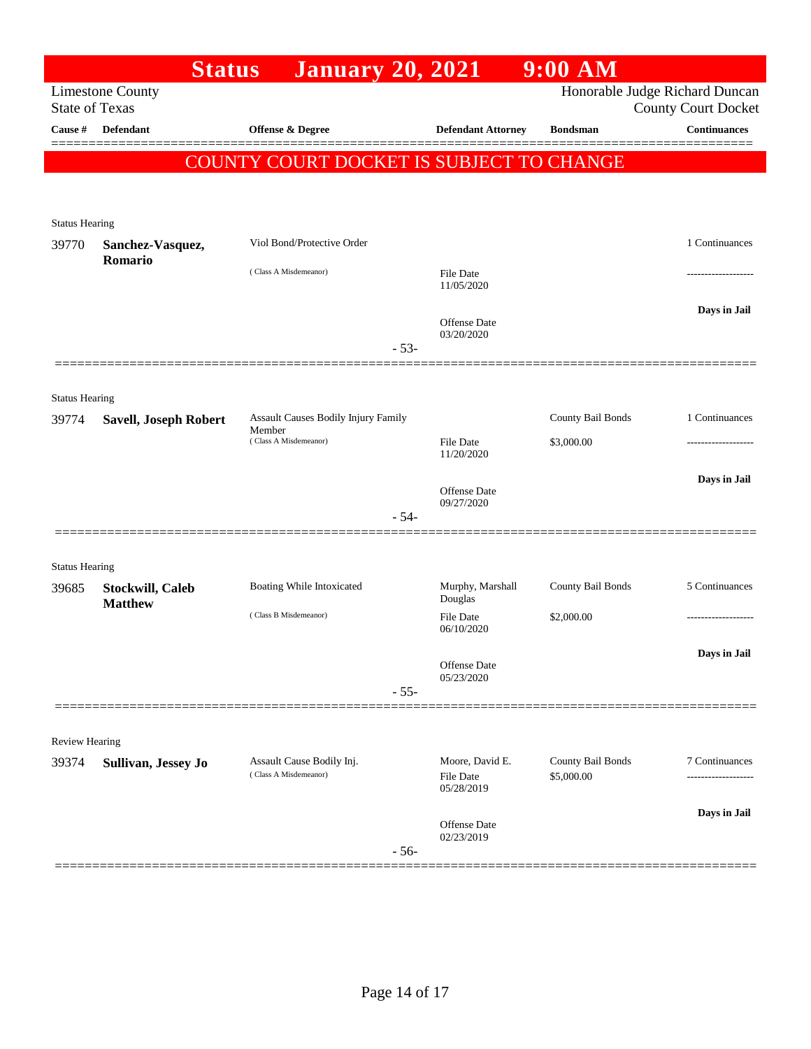|                                | <b>Status</b>                             | <b>January 20, 2021</b>                  |                             | $9:00$ AM         |                                                   |
|--------------------------------|-------------------------------------------|------------------------------------------|-----------------------------|-------------------|---------------------------------------------------|
| <b>State of Texas</b>          | <b>Limestone County</b>                   |                                          |                             |                   | Honorable Judge Richard Duncan                    |
| Cause #                        | <b>Defendant</b>                          | Offense & Degree                         | <b>Defendant Attorney</b>   | <b>Bondsman</b>   | <b>County Court Docket</b><br><b>Continuances</b> |
|                                |                                           |                                          |                             |                   |                                                   |
|                                |                                           | COUNTY COURT DOCKET IS SUBJECT TO CHANGE |                             |                   |                                                   |
|                                |                                           |                                          |                             |                   |                                                   |
| <b>Status Hearing</b>          |                                           |                                          |                             |                   |                                                   |
| 39770                          | Sanchez-Vasquez,                          | Viol Bond/Protective Order               |                             |                   | 1 Continuances                                    |
|                                | Romario                                   | (Class A Misdemeanor)                    | <b>File Date</b>            |                   |                                                   |
|                                |                                           |                                          | 11/05/2020                  |                   |                                                   |
|                                |                                           |                                          | <b>Offense Date</b>         |                   | Days in Jail                                      |
|                                |                                           | $-53-$                                   | 03/20/2020                  |                   |                                                   |
|                                |                                           |                                          |                             |                   |                                                   |
|                                |                                           |                                          |                             |                   |                                                   |
| <b>Status Hearing</b><br>39774 | <b>Savell, Joseph Robert</b>              | Assault Causes Bodily Injury Family      |                             | County Bail Bonds | 1 Continuances                                    |
|                                |                                           | Member<br>(Class A Misdemeanor)          | File Date                   | \$3,000.00        |                                                   |
|                                |                                           |                                          | 11/20/2020                  |                   |                                                   |
|                                |                                           |                                          | <b>Offense</b> Date         |                   | Days in Jail                                      |
|                                |                                           | $-54-$                                   | 09/27/2020                  |                   |                                                   |
|                                |                                           |                                          |                             |                   |                                                   |
| <b>Status Hearing</b>          |                                           |                                          |                             |                   |                                                   |
| 39685                          | <b>Stockwill, Caleb</b><br><b>Matthew</b> | Boating While Intoxicated                | Murphy, Marshall            | County Bail Bonds | 5 Continuances                                    |
|                                |                                           | (Class B Misdemeanor)                    | Douglas<br><b>File Date</b> | \$2,000.00        |                                                   |
|                                |                                           |                                          | 06/10/2020                  |                   |                                                   |
|                                |                                           |                                          | Offense Date                |                   | Days in Jail                                      |
|                                |                                           | $-55-$                                   | 05/23/2020                  |                   |                                                   |
|                                |                                           |                                          |                             |                   |                                                   |
|                                |                                           |                                          |                             |                   |                                                   |
| Review Hearing<br>39374        | Sullivan, Jessey Jo                       | Assault Cause Bodily Inj.                | Moore, David E.             | County Bail Bonds | 7 Continuances                                    |
|                                |                                           | (Class A Misdemeanor)                    | <b>File Date</b>            | \$5,000.00        |                                                   |
|                                |                                           |                                          | 05/28/2019                  |                   |                                                   |
|                                |                                           |                                          | <b>Offense Date</b>         |                   | Days in Jail                                      |
|                                |                                           | $-56-$                                   | 02/23/2019                  |                   |                                                   |
|                                |                                           |                                          |                             |                   |                                                   |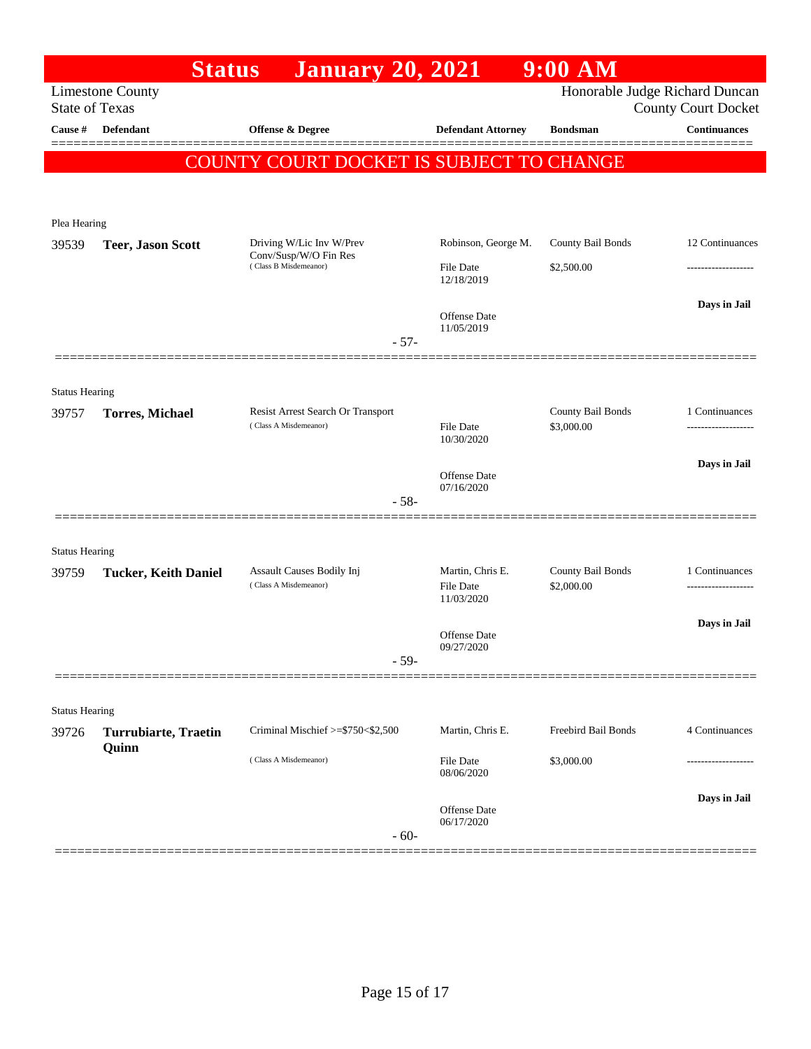| <b>Limestone County</b><br><b>State of Texas</b><br>Defendant<br>Offense & Degree<br>Cause #                                | Honorable Judge Richard Duncan<br><b>County Court Docket</b><br>$\label{1.1}$ Continuances<br><b>Defendant Attorney</b><br><b>Bondsman</b> |
|-----------------------------------------------------------------------------------------------------------------------------|--------------------------------------------------------------------------------------------------------------------------------------------|
|                                                                                                                             |                                                                                                                                            |
|                                                                                                                             |                                                                                                                                            |
| COUNTY COURT DOCKET IS SUBJECT TO CHANGE                                                                                    |                                                                                                                                            |
|                                                                                                                             |                                                                                                                                            |
|                                                                                                                             |                                                                                                                                            |
| Plea Hearing<br>Driving W/Lic Inv W/Prev<br>39539<br><b>Teer, Jason Scott</b>                                               | Robinson, George M.<br>County Bail Bonds<br>12 Continuances                                                                                |
| Conv/Susp/W/O Fin Res<br>(Class B Misdemeanor)<br>File Date                                                                 | \$2,500.00<br>--------------                                                                                                               |
| 12/18/2019                                                                                                                  |                                                                                                                                            |
| Offense Date                                                                                                                | Days in Jail                                                                                                                               |
| 11/05/2019<br>$-57-$                                                                                                        |                                                                                                                                            |
|                                                                                                                             |                                                                                                                                            |
| <b>Status Hearing</b>                                                                                                       |                                                                                                                                            |
| Resist Arrest Search Or Transport<br>39757<br><b>Torres, Michael</b><br>(Class A Misdemeanor)<br>File Date                  | County Bail Bonds<br>1 Continuances<br>\$3,000.00                                                                                          |
| 10/30/2020                                                                                                                  |                                                                                                                                            |
| Offense Date                                                                                                                | Days in Jail                                                                                                                               |
| 07/16/2020<br>$-58-$                                                                                                        |                                                                                                                                            |
|                                                                                                                             |                                                                                                                                            |
| <b>Status Hearing</b>                                                                                                       |                                                                                                                                            |
| Assault Causes Bodily Inj<br>Martin, Chris E.<br>39759<br><b>Tucker, Keith Daniel</b><br>(Class A Misdemeanor)<br>File Date | County Bail Bonds<br>1 Continuances<br>\$2,000.00                                                                                          |
| 11/03/2020                                                                                                                  |                                                                                                                                            |
| Offense Date                                                                                                                | Days in Jail                                                                                                                               |
| 09/27/2020<br>$-59-$                                                                                                        |                                                                                                                                            |
|                                                                                                                             |                                                                                                                                            |
| <b>Status Hearing</b>                                                                                                       |                                                                                                                                            |
| Criminal Mischief >=\$750<\$2,500<br>Martin, Chris E.<br>39726<br><b>Turrubiarte, Traetin</b>                               | Freebird Bail Bonds<br>4 Continuances                                                                                                      |
| Quinn<br>(Class A Misdemeanor)<br>File Date                                                                                 | \$3,000.00                                                                                                                                 |
| 08/06/2020                                                                                                                  |                                                                                                                                            |
| Offense Date<br>06/17/2020                                                                                                  | Days in Jail                                                                                                                               |
| $-60-$                                                                                                                      |                                                                                                                                            |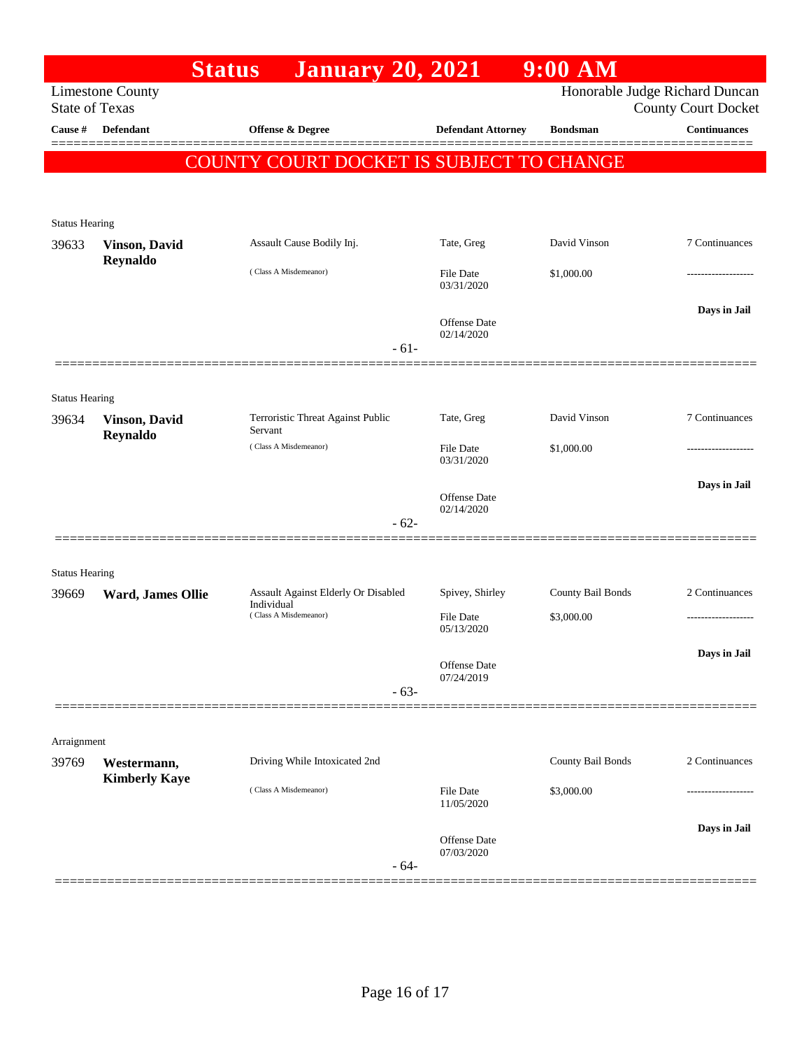|                                |                                     | <b>Status</b> | <b>January 20, 2021</b>             |        |                                          | $9:00$ AM         |                                                              |
|--------------------------------|-------------------------------------|---------------|-------------------------------------|--------|------------------------------------------|-------------------|--------------------------------------------------------------|
| <b>State of Texas</b>          | <b>Limestone County</b>             |               |                                     |        |                                          |                   | Honorable Judge Richard Duncan<br><b>County Court Docket</b> |
| Cause #                        | Defendant                           |               | Offense & Degree                    |        | <b>Defendant Attorney</b>                | <b>Bondsman</b>   | <b>Continuances</b>                                          |
|                                |                                     |               |                                     |        | COUNTY COURT DOCKET IS SUBJECT TO CHANGE |                   |                                                              |
|                                |                                     |               |                                     |        |                                          |                   |                                                              |
|                                |                                     |               |                                     |        |                                          |                   |                                                              |
| <b>Status Hearing</b><br>39633 | <b>Vinson</b> , David               |               | Assault Cause Bodily Inj.           |        | Tate, Greg                               | David Vinson      | 7 Continuances                                               |
|                                | Reynaldo                            |               | (Class A Misdemeanor)               |        |                                          |                   |                                                              |
|                                |                                     |               |                                     |        | <b>File Date</b><br>03/31/2020           | \$1,000.00        |                                                              |
|                                |                                     |               |                                     |        | Offense Date                             |                   | Days in Jail                                                 |
|                                |                                     |               |                                     |        | 02/14/2020                               |                   |                                                              |
|                                |                                     |               |                                     | $-61-$ |                                          |                   |                                                              |
| <b>Status Hearing</b>          |                                     |               |                                     |        |                                          |                   |                                                              |
| 39634                          | <b>Vinson</b> , David               |               | Terroristic Threat Against Public   |        | Tate, Greg                               | David Vinson      | 7 Continuances                                               |
|                                | Reynaldo                            | Servant       | (Class A Misdemeanor)               |        | <b>File Date</b>                         | \$1,000.00        |                                                              |
|                                |                                     |               |                                     |        | 03/31/2020                               |                   |                                                              |
|                                |                                     |               |                                     |        | Offense Date                             |                   | Days in Jail                                                 |
|                                |                                     |               |                                     | $-62-$ | 02/14/2020                               |                   |                                                              |
|                                |                                     |               |                                     |        |                                          |                   |                                                              |
| <b>Status Hearing</b>          |                                     |               |                                     |        |                                          |                   |                                                              |
| 39669                          | Ward, James Ollie                   |               | Assault Against Elderly Or Disabled |        | Spivey, Shirley                          | County Bail Bonds | 2 Continuances                                               |
|                                |                                     | Individual    | (Class A Misdemeanor)               |        | File Date                                | \$3,000.00        |                                                              |
|                                |                                     |               |                                     |        | 05/13/2020                               |                   |                                                              |
|                                |                                     |               |                                     |        | Offense Date                             |                   | Days in Jail                                                 |
|                                |                                     |               |                                     | $-63-$ | 07/24/2019                               |                   |                                                              |
|                                |                                     |               |                                     |        |                                          |                   |                                                              |
| Arraignment                    |                                     |               |                                     |        |                                          |                   |                                                              |
| 39769                          | Westermann,<br><b>Kimberly Kaye</b> |               | Driving While Intoxicated 2nd       |        |                                          | County Bail Bonds | 2 Continuances                                               |
|                                |                                     |               | (Class A Misdemeanor)               |        | File Date                                | \$3,000.00        |                                                              |
|                                |                                     |               |                                     |        | 11/05/2020                               |                   |                                                              |
|                                |                                     |               |                                     |        | Offense Date                             |                   | Days in Jail                                                 |
|                                |                                     |               |                                     | $-64-$ | 07/03/2020                               |                   |                                                              |
|                                |                                     |               |                                     |        |                                          |                   |                                                              |